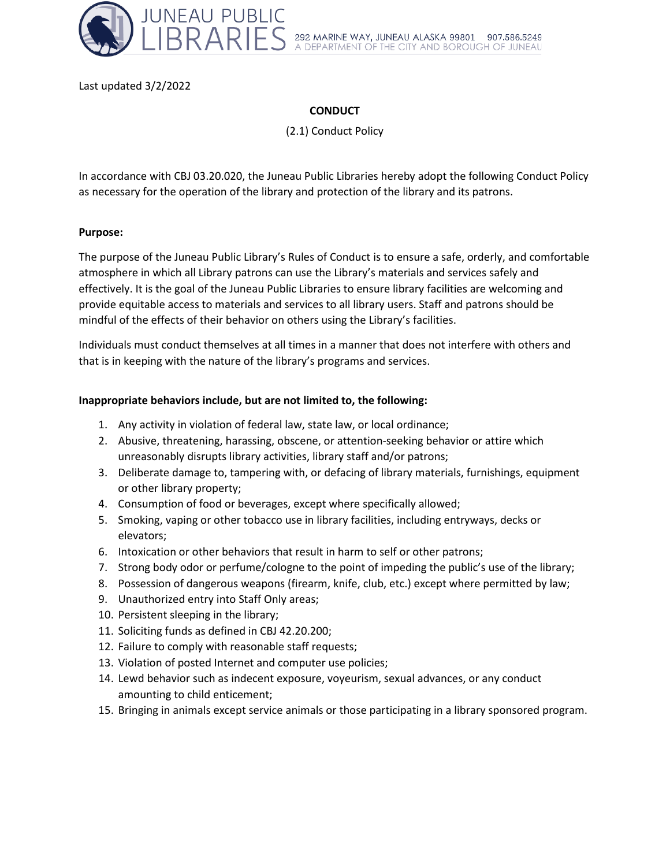

Last updated 3/2/2022

# **CONDUCT**

(2.1) Conduct Policy

In accordance with CBJ 03.20.020, the Juneau Public Libraries hereby adopt the following Conduct Policy as necessary for the operation of the library and protection of the library and its patrons.

### **Purpose:**

The purpose of the Juneau Public Library's Rules of Conduct is to ensure a safe, orderly, and comfortable atmosphere in which all Library patrons can use the Library's materials and services safely and effectively. It is the goal of the Juneau Public Libraries to ensure library facilities are welcoming and provide equitable access to materials and services to all library users. Staff and patrons should be mindful of the effects of their behavior on others using the Library's facilities.

Individuals must conduct themselves at all times in a manner that does not interfere with others and that is in keeping with the nature of the library's programs and services.

### **Inappropriate behaviors include, but are not limited to, the following:**

- 1. Any activity in violation of federal law, state law, or local ordinance;
- 2. Abusive, threatening, harassing, obscene, or attention-seeking behavior or attire which unreasonably disrupts library activities, library staff and/or patrons;
- 3. Deliberate damage to, tampering with, or defacing of library materials, furnishings, equipment or other library property;
- 4. Consumption of food or beverages, except where specifically allowed;
- 5. Smoking, vaping or other tobacco use in library facilities, including entryways, decks or elevators;
- 6. Intoxication or other behaviors that result in harm to self or other patrons;
- 7. Strong body odor or perfume/cologne to the point of impeding the public's use of the library;
- 8. Possession of dangerous weapons (firearm, knife, club, etc.) except where permitted by law;
- 9. Unauthorized entry into Staff Only areas;
- 10. Persistent sleeping in the library;
- 11. Soliciting funds as defined in CBJ 42.20.200;
- 12. Failure to comply with reasonable staff requests;
- 13. Violation of posted Internet and computer use policies;
- 14. Lewd behavior such as indecent exposure, voyeurism, sexual advances, or any conduct amounting to child enticement;
- 15. Bringing in animals except service animals or those participating in a library sponsored program.